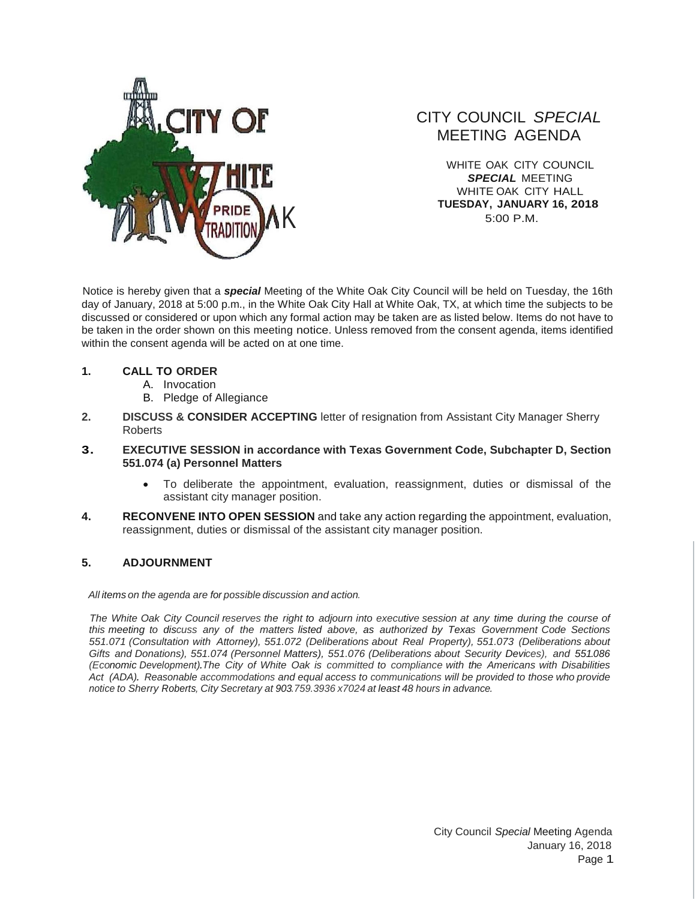

## CITY COUNCIL *SPECIAL* MEETING AGENDA

WHITE OAK CITY COUNCIL *SPECIAL* MEETING WHITE OAK CITY HALL **TUESDAY, JANUARY 16, 2018** 5:00 P.M.

Notice is hereby given that a *special* Meeting of the White Oak City Council will be held on Tuesday, the 16th day of January, 2018 at 5:00 p.m., in the White Oak City Hall at White Oak, TX, at which time the subjects to be discussed or considered or upon which any formal action may be taken are as listed below. Items do not have to be taken in the order shown on this meeting notice. Unless removed from the consent agenda, items identified within the consent agenda will be acted on at one time.

## **1. CALL TO ORDER**

- A. Invocation
- B. Pledge of Allegiance
- **2. DISCUSS & CONSIDER ACCEPTING** letter of resignation from Assistant City Manager Sherry Roberts

## **3. EXECUTIVE SESSION in accordance with Texas Government Code, Subchapter D, Section 551.074 (a) Personnel Matters**

- To deliberate the appointment, evaluation, reassignment, duties or dismissal of the assistant city manager position.
- **4. RECONVENE INTO OPEN SESSION** and take any action regarding the appointment, evaluation, reassignment, duties or dismissal of the assistant city manager position.

## **5. ADJOURNMENT**

*All items on the agenda are for possible discussion and action.*

The White Oak City Council reserves the right to adjourn into executive session at any time during the course of *this meeting to discuss any of the matters listed above, as authorized by Texas Government Code Sections 551.071 (Consultation with Attorney), 551.072 (Deliberations about Real Property), 551.073 (Deliberations about Gifts and Donations), 551.074 (Personnel Matters), 551.076 (Deliberations about Security Devices), and 551.086 (Economic Development).The City of White Oak is committed to compliance with the Americans with Disabilities Act (ADA). Reasonable accommodations and equal access to communications will be provided to those who provide notice to Sherry Roberts, City Secretary at 903.759.3936 x7024 at least 48 hours in advance.*